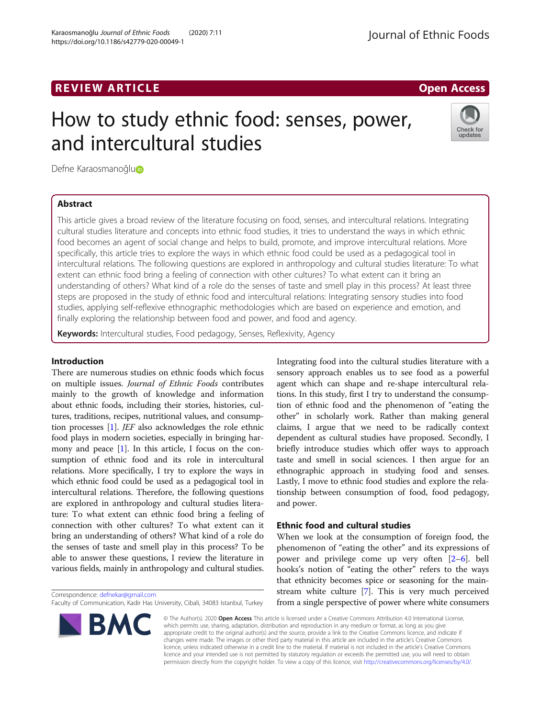# REVIEW ARTICLE And the contract of the contract of the contract of the contract of the contract of the contract of the contract of the contract of the contract of the contract of the contract of the contract of the contrac

# How to study ethnic food: senses, power, and intercultural studies

Defne Karaosmanoğl[u](http://orcid.org/0000-0002-6401-1070)**n** 

# Abstract

This article gives a broad review of the literature focusing on food, senses, and intercultural relations. Integrating cultural studies literature and concepts into ethnic food studies, it tries to understand the ways in which ethnic food becomes an agent of social change and helps to build, promote, and improve intercultural relations. More specifically, this article tries to explore the ways in which ethnic food could be used as a pedagogical tool in intercultural relations. The following questions are explored in anthropology and cultural studies literature: To what extent can ethnic food bring a feeling of connection with other cultures? To what extent can it bring an understanding of others? What kind of a role do the senses of taste and smell play in this process? At least three steps are proposed in the study of ethnic food and intercultural relations: Integrating sensory studies into food studies, applying self-reflexive ethnographic methodologies which are based on experience and emotion, and finally exploring the relationship between food and power, and food and agency.

Keywords: Intercultural studies, Food pedagogy, Senses, Reflexivity, Agency

## Introduction

There are numerous studies on ethnic foods which focus on multiple issues. Journal of Ethnic Foods contributes mainly to the growth of knowledge and information about ethnic foods, including their stories, histories, cultures, traditions, recipes, nutritional values, and consumption processes [\[1\]](#page-6-0). JEF also acknowledges the role ethnic food plays in modern societies, especially in bringing harmony and peace [\[1\]](#page-6-0). In this article, I focus on the consumption of ethnic food and its role in intercultural relations. More specifically, I try to explore the ways in which ethnic food could be used as a pedagogical tool in intercultural relations. Therefore, the following questions are explored in anthropology and cultural studies literature: To what extent can ethnic food bring a feeling of connection with other cultures? To what extent can it bring an understanding of others? What kind of a role do the senses of taste and smell play in this process? To be able to answer these questions, I review the literature in various fields, mainly in anthropology and cultural studies.

Correspondence: [defnekar@gmail.com](mailto:defnekar@gmail.com)

Faculty of Communication, Kadir Has University, Cibali, 34083 Istanbul, Turkey

Integrating food into the cultural studies literature with a sensory approach enables us to see food as a powerful agent which can shape and re-shape intercultural relations. In this study, first I try to understand the consumption of ethnic food and the phenomenon of "eating the other" in scholarly work. Rather than making general claims, I argue that we need to be radically context dependent as cultural studies have proposed. Secondly, I briefly introduce studies which offer ways to approach taste and smell in social sciences. I then argue for an ethnographic approach in studying food and senses. Lastly, I move to ethnic food studies and explore the relationship between consumption of food, food pedagogy, and power.

# Ethnic food and cultural studies

When we look at the consumption of foreign food, the phenomenon of "eating the other" and its expressions of power and privilege come up very often [[2](#page-6-0)–[6](#page-6-0)]. bell hooks's notion of "eating the other" refers to the ways that ethnicity becomes spice or seasoning for the mainstream white culture [[7\]](#page-6-0). This is very much perceived from a single perspective of power where white consumers

© The Author(s). 2020 Open Access This article is licensed under a Creative Commons Attribution 4.0 International License, which permits use, sharing, adaptation, distribution and reproduction in any medium or format, as long as you give appropriate credit to the original author(s) and the source, provide a link to the Creative Commons licence, and indicate if changes were made. The images or other third party material in this article are included in the article's Creative Commons licence, unless indicated otherwise in a credit line to the material. If material is not included in the article's Creative Commons licence and your intended use is not permitted by statutory regulation or exceeds the permitted use, you will need to obtain permission directly from the copyright holder. To view a copy of this licence, visit [http://creativecommons.org/licenses/by/4.0/.](http://creativecommons.org/licenses/by/4.0/)



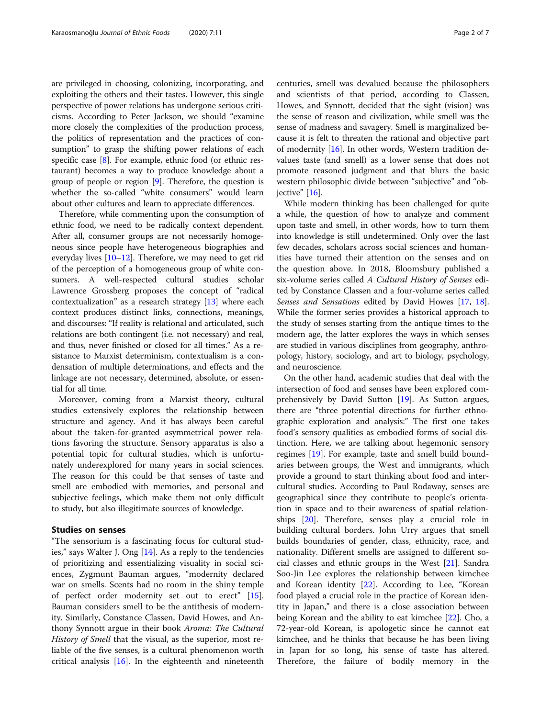are privileged in choosing, colonizing, incorporating, and exploiting the others and their tastes. However, this single perspective of power relations has undergone serious criticisms. According to Peter Jackson, we should "examine more closely the complexities of the production process, the politics of representation and the practices of consumption" to grasp the shifting power relations of each specific case [[8\]](#page-6-0). For example, ethnic food (or ethnic restaurant) becomes a way to produce knowledge about a group of people or region [[9](#page-6-0)]. Therefore, the question is whether the so-called "white consumers" would learn about other cultures and learn to appreciate differences.

Therefore, while commenting upon the consumption of ethnic food, we need to be radically context dependent. After all, consumer groups are not necessarily homogeneous since people have heterogeneous biographies and everyday lives [\[10](#page-6-0)–[12](#page-6-0)]. Therefore, we may need to get rid of the perception of a homogeneous group of white consumers. A well-respected cultural studies scholar Lawrence Grossberg proposes the concept of "radical contextualization" as a research strategy [[13](#page-6-0)] where each context produces distinct links, connections, meanings, and discourses: "If reality is relational and articulated, such relations are both contingent (i.e. not necessary) and real, and thus, never finished or closed for all times." As a resistance to Marxist determinism, contextualism is a condensation of multiple determinations, and effects and the linkage are not necessary, determined, absolute, or essential for all time.

Moreover, coming from a Marxist theory, cultural studies extensively explores the relationship between structure and agency. And it has always been careful about the taken-for-granted asymmetrical power relations favoring the structure. Sensory apparatus is also a potential topic for cultural studies, which is unfortunately underexplored for many years in social sciences. The reason for this could be that senses of taste and smell are embodied with memories, and personal and subjective feelings, which make them not only difficult to study, but also illegitimate sources of knowledge.

## Studies on senses

"The sensorium is a fascinating focus for cultural studies," says Walter J. Ong [\[14](#page-6-0)]. As a reply to the tendencies of prioritizing and essentializing visuality in social sciences, Zygmunt Bauman argues, "modernity declared war on smells. Scents had no room in the shiny temple of perfect order modernity set out to erect" [\[15](#page-6-0)]. Bauman considers smell to be the antithesis of modernity. Similarly, Constance Classen, David Howes, and Anthony Synnott argue in their book Aroma: The Cultural History of Smell that the visual, as the superior, most reliable of the five senses, is a cultural phenomenon worth critical analysis [\[16](#page-6-0)]. In the eighteenth and nineteenth centuries, smell was devalued because the philosophers and scientists of that period, according to Classen, Howes, and Synnott, decided that the sight (vision) was the sense of reason and civilization, while smell was the sense of madness and savagery. Smell is marginalized because it is felt to threaten the rational and objective part of modernity [\[16](#page-6-0)]. In other words, Western tradition devalues taste (and smell) as a lower sense that does not promote reasoned judgment and that blurs the basic western philosophic divide between "subjective" and "objective" [\[16](#page-6-0)].

While modern thinking has been challenged for quite a while, the question of how to analyze and comment upon taste and smell, in other words, how to turn them into knowledge is still undetermined. Only over the last few decades, scholars across social sciences and humanities have turned their attention on the senses and on the question above. In 2018, Bloomsbury published a six-volume series called A Cultural History of Senses edited by Constance Classen and a four-volume series called Senses and Sensations edited by David Howes [\[17,](#page-6-0) [18](#page-6-0)]. While the former series provides a historical approach to the study of senses starting from the antique times to the modern age, the latter explores the ways in which senses are studied in various disciplines from geography, anthropology, history, sociology, and art to biology, psychology, and neuroscience.

On the other hand, academic studies that deal with the intersection of food and senses have been explored comprehensively by David Sutton [[19\]](#page-6-0). As Sutton argues, there are "three potential directions for further ethnographic exploration and analysis:" The first one takes food's sensory qualities as embodied forms of social distinction. Here, we are talking about hegemonic sensory regimes [\[19\]](#page-6-0). For example, taste and smell build boundaries between groups, the West and immigrants, which provide a ground to start thinking about food and intercultural studies. According to Paul Rodaway, senses are geographical since they contribute to people's orientation in space and to their awareness of spatial relationships [\[20](#page-6-0)]. Therefore, senses play a crucial role in building cultural borders. John Urry argues that smell builds boundaries of gender, class, ethnicity, race, and nationality. Different smells are assigned to different social classes and ethnic groups in the West [\[21](#page-6-0)]. Sandra Soo-Jin Lee explores the relationship between kimchee and Korean identity [\[22](#page-6-0)]. According to Lee, "Korean food played a crucial role in the practice of Korean identity in Japan," and there is a close association between being Korean and the ability to eat kimchee [\[22](#page-6-0)]. Cho, a 72-year-old Korean, is apologetic since he cannot eat kimchee, and he thinks that because he has been living in Japan for so long, his sense of taste has altered. Therefore, the failure of bodily memory in the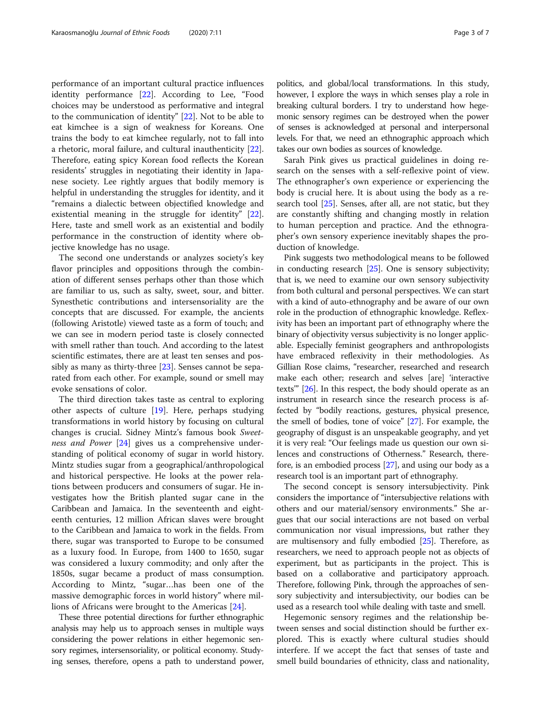performance of an important cultural practice influences identity performance [\[22](#page-6-0)]. According to Lee, "Food choices may be understood as performative and integral to the communication of identity" [\[22](#page-6-0)]. Not to be able to eat kimchee is a sign of weakness for Koreans. One trains the body to eat kimchee regularly, not to fall into a rhetoric, moral failure, and cultural inauthenticity [\[22](#page-6-0)]. Therefore, eating spicy Korean food reflects the Korean residents' struggles in negotiating their identity in Japanese society. Lee rightly argues that bodily memory is helpful in understanding the struggles for identity, and it "remains a dialectic between objectified knowledge and existential meaning in the struggle for identity" [\[22](#page-6-0)]. Here, taste and smell work as an existential and bodily performance in the construction of identity where objective knowledge has no usage.

The second one understands or analyzes society's key flavor principles and oppositions through the combination of different senses perhaps other than those which are familiar to us, such as salty, sweet, sour, and bitter. Synesthetic contributions and intersensoriality are the concepts that are discussed. For example, the ancients (following Aristotle) viewed taste as a form of touch; and we can see in modern period taste is closely connected with smell rather than touch. And according to the latest scientific estimates, there are at least ten senses and possibly as many as thirty-three [\[23](#page-6-0)]. Senses cannot be separated from each other. For example, sound or smell may evoke sensations of color.

The third direction takes taste as central to exploring other aspects of culture [[19\]](#page-6-0). Here, perhaps studying transformations in world history by focusing on cultural changes is crucial. Sidney Mintz's famous book Sweet-ness and Power [\[24\]](#page-6-0) gives us a comprehensive understanding of political economy of sugar in world history. Mintz studies sugar from a geographical/anthropological and historical perspective. He looks at the power relations between producers and consumers of sugar. He investigates how the British planted sugar cane in the Caribbean and Jamaica. In the seventeenth and eighteenth centuries, 12 million African slaves were brought to the Caribbean and Jamaica to work in the fields. From there, sugar was transported to Europe to be consumed as a luxury food. In Europe, from 1400 to 1650, sugar was considered a luxury commodity; and only after the 1850s, sugar became a product of mass consumption. According to Mintz, "sugar…has been one of the massive demographic forces in world history" where millions of Africans were brought to the Americas [\[24\]](#page-6-0).

These three potential directions for further ethnographic analysis may help us to approach senses in multiple ways considering the power relations in either hegemonic sensory regimes, intersensoriality, or political economy. Studying senses, therefore, opens a path to understand power,

politics, and global/local transformations. In this study, however, I explore the ways in which senses play a role in breaking cultural borders. I try to understand how hegemonic sensory regimes can be destroyed when the power of senses is acknowledged at personal and interpersonal levels. For that, we need an ethnographic approach which takes our own bodies as sources of knowledge.

Sarah Pink gives us practical guidelines in doing research on the senses with a self-reflexive point of view. The ethnographer's own experience or experiencing the body is crucial here. It is about using the body as a research tool [[25](#page-6-0)]. Senses, after all, are not static, but they are constantly shifting and changing mostly in relation to human perception and practice. And the ethnographer's own sensory experience inevitably shapes the production of knowledge.

Pink suggests two methodological means to be followed in conducting research [[25](#page-6-0)]. One is sensory subjectivity; that is, we need to examine our own sensory subjectivity from both cultural and personal perspectives. We can start with a kind of auto-ethnography and be aware of our own role in the production of ethnographic knowledge. Reflexivity has been an important part of ethnography where the binary of objectivity versus subjectivity is no longer applicable. Especially feminist geographers and anthropologists have embraced reflexivity in their methodologies. As Gillian Rose claims, "researcher, researched and research make each other; research and selves [are] 'interactive texts'" [\[26\]](#page-6-0). In this respect, the body should operate as an instrument in research since the research process is affected by "bodily reactions, gestures, physical presence, the smell of bodies, tone of voice" [\[27](#page-6-0)]. For example, the geography of disgust is an unspeakable geography, and yet it is very real: "Our feelings made us question our own silences and constructions of Otherness." Research, therefore, is an embodied process [[27](#page-6-0)], and using our body as a research tool is an important part of ethnography.

The second concept is sensory intersubjectivity. Pink considers the importance of "intersubjective relations with others and our material/sensory environments." She argues that our social interactions are not based on verbal communication nor visual impressions, but rather they are multisensory and fully embodied [\[25\]](#page-6-0). Therefore, as researchers, we need to approach people not as objects of experiment, but as participants in the project. This is based on a collaborative and participatory approach. Therefore, following Pink, through the approaches of sensory subjectivity and intersubjectivity, our bodies can be used as a research tool while dealing with taste and smell.

Hegemonic sensory regimes and the relationship between senses and social distinction should be further explored. This is exactly where cultural studies should interfere. If we accept the fact that senses of taste and smell build boundaries of ethnicity, class and nationality,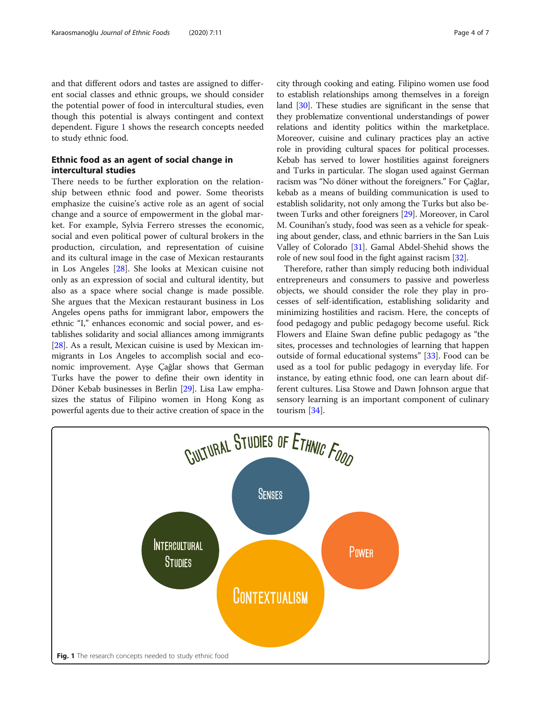and that different odors and tastes are assigned to different social classes and ethnic groups, we should consider the potential power of food in intercultural studies, even though this potential is always contingent and context dependent. Figure 1 shows the research concepts needed to study ethnic food.

# Ethnic food as an agent of social change in intercultural studies

There needs to be further exploration on the relationship between ethnic food and power. Some theorists emphasize the cuisine's active role as an agent of social change and a source of empowerment in the global market. For example, Sylvia Ferrero stresses the economic, social and even political power of cultural brokers in the production, circulation, and representation of cuisine and its cultural image in the case of Mexican restaurants in Los Angeles [[28\]](#page-6-0). She looks at Mexican cuisine not only as an expression of social and cultural identity, but also as a space where social change is made possible. She argues that the Mexican restaurant business in Los Angeles opens paths for immigrant labor, empowers the ethnic "I," enhances economic and social power, and establishes solidarity and social alliances among immigrants [[28](#page-6-0)]. As a result, Mexican cuisine is used by Mexican immigrants in Los Angeles to accomplish social and economic improvement. Ayşe Çağlar shows that German Turks have the power to define their own identity in Döner Kebab businesses in Berlin [[29](#page-6-0)]. Lisa Law emphasizes the status of Filipino women in Hong Kong as powerful agents due to their active creation of space in the city through cooking and eating. Filipino women use food to establish relationships among themselves in a foreign land [\[30\]](#page-6-0). These studies are significant in the sense that they problematize conventional understandings of power relations and identity politics within the marketplace. Moreover, cuisine and culinary practices play an active role in providing cultural spaces for political processes. Kebab has served to lower hostilities against foreigners and Turks in particular. The slogan used against German racism was "No döner without the foreigners." For Çağlar, kebab as a means of building communication is used to establish solidarity, not only among the Turks but also between Turks and other foreigners [[29](#page-6-0)]. Moreover, in Carol M. Counihan's study, food was seen as a vehicle for speaking about gender, class, and ethnic barriers in the San Luis Valley of Colorado [\[31](#page-6-0)]. Gamal Abdel-Shehid shows the role of new soul food in the fight against racism [\[32\]](#page-6-0).

Therefore, rather than simply reducing both individual entrepreneurs and consumers to passive and powerless objects, we should consider the role they play in processes of self-identification, establishing solidarity and minimizing hostilities and racism. Here, the concepts of food pedagogy and public pedagogy become useful. Rick Flowers and Elaine Swan define public pedagogy as "the sites, processes and technologies of learning that happen outside of formal educational systems" [[33\]](#page-6-0). Food can be used as a tool for public pedagogy in everyday life. For instance, by eating ethnic food, one can learn about different cultures. Lisa Stowe and Dawn Johnson argue that sensory learning is an important component of culinary tourism [[34](#page-6-0)].

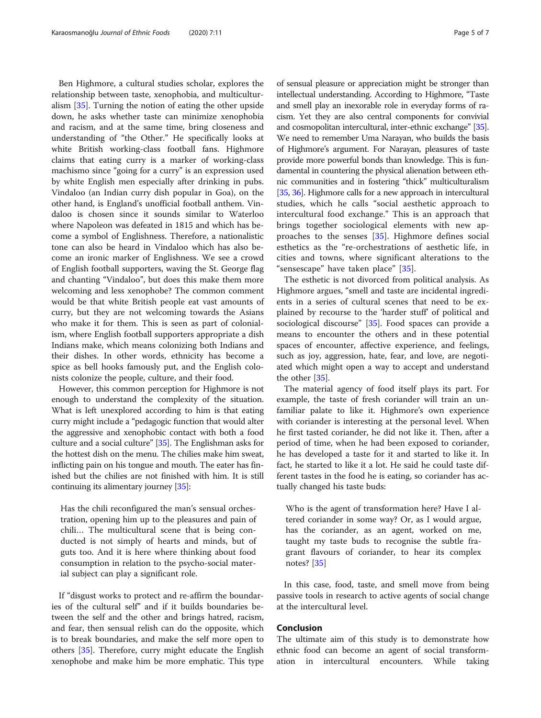Ben Highmore, a cultural studies scholar, explores the relationship between taste, xenophobia, and multiculturalism [\[35](#page-6-0)]. Turning the notion of eating the other upside down, he asks whether taste can minimize xenophobia and racism, and at the same time, bring closeness and understanding of "the Other." He specifically looks at white British working-class football fans. Highmore claims that eating curry is a marker of working-class machismo since "going for a curry" is an expression used by white English men especially after drinking in pubs. Vindaloo (an Indian curry dish popular in Goa), on the other hand, is England's unofficial football anthem. Vindaloo is chosen since it sounds similar to Waterloo where Napoleon was defeated in 1815 and which has become a symbol of Englishness. Therefore, a nationalistic tone can also be heard in Vindaloo which has also become an ironic marker of Englishness. We see a crowd of English football supporters, waving the St. George flag and chanting "Vindaloo", but does this make them more welcoming and less xenophobe? The common comment would be that white British people eat vast amounts of curry, but they are not welcoming towards the Asians who make it for them. This is seen as part of colonialism, where English football supporters appropriate a dish Indians make, which means colonizing both Indians and their dishes. In other words, ethnicity has become a spice as bell hooks famously put, and the English colonists colonize the people, culture, and their food.

However, this common perception for Highmore is not enough to understand the complexity of the situation. What is left unexplored according to him is that eating curry might include a "pedagogic function that would alter the aggressive and xenophobic contact with both a food culture and a social culture" [\[35\]](#page-6-0). The Englishman asks for the hottest dish on the menu. The chilies make him sweat, inflicting pain on his tongue and mouth. The eater has finished but the chilies are not finished with him. It is still continuing its alimentary journey [\[35\]](#page-6-0):

Has the chili reconfigured the man's sensual orchestration, opening him up to the pleasures and pain of chili… The multicultural scene that is being conducted is not simply of hearts and minds, but of guts too. And it is here where thinking about food consumption in relation to the psycho-social material subject can play a significant role.

If "disgust works to protect and re-affirm the boundaries of the cultural self" and if it builds boundaries between the self and the other and brings hatred, racism, and fear, then sensual relish can do the opposite, which is to break boundaries, and make the self more open to others [\[35](#page-6-0)]. Therefore, curry might educate the English xenophobe and make him be more emphatic. This type

of sensual pleasure or appreciation might be stronger than intellectual understanding. According to Highmore, "Taste and smell play an inexorable role in everyday forms of racism. Yet they are also central components for convivial and cosmopolitan intercultural, inter-ethnic exchange" [\[35](#page-6-0)]. We need to remember Uma Narayan, who builds the basis of Highmore's argument. For Narayan, pleasures of taste provide more powerful bonds than knowledge. This is fundamental in countering the physical alienation between ethnic communities and in fostering "thick" multiculturalism [[35](#page-6-0), [36](#page-6-0)]. Highmore calls for a new approach in intercultural studies, which he calls "social aesthetic approach to intercultural food exchange." This is an approach that brings together sociological elements with new approaches to the senses [[35](#page-6-0)]. Highmore defines social esthetics as the "re-orchestrations of aesthetic life, in cities and towns, where significant alterations to the "sensescape" have taken place" [[35\]](#page-6-0).

The esthetic is not divorced from political analysis. As Highmore argues, "smell and taste are incidental ingredients in a series of cultural scenes that need to be explained by recourse to the 'harder stuff' of political and sociological discourse" [[35\]](#page-6-0). Food spaces can provide a means to encounter the others and in these potential spaces of encounter, affective experience, and feelings, such as joy, aggression, hate, fear, and love, are negotiated which might open a way to accept and understand the other [\[35](#page-6-0)].

The material agency of food itself plays its part. For example, the taste of fresh coriander will train an unfamiliar palate to like it. Highmore's own experience with coriander is interesting at the personal level. When he first tasted coriander, he did not like it. Then, after a period of time, when he had been exposed to coriander, he has developed a taste for it and started to like it. In fact, he started to like it a lot. He said he could taste different tastes in the food he is eating, so coriander has actually changed his taste buds:

Who is the agent of transformation here? Have I altered coriander in some way? Or, as I would argue, has the coriander, as an agent, worked on me, taught my taste buds to recognise the subtle fragrant flavours of coriander, to hear its complex notes? [[35](#page-6-0)]

In this case, food, taste, and smell move from being passive tools in research to active agents of social change at the intercultural level.

## Conclusion

The ultimate aim of this study is to demonstrate how ethnic food can become an agent of social transformation in intercultural encounters. While taking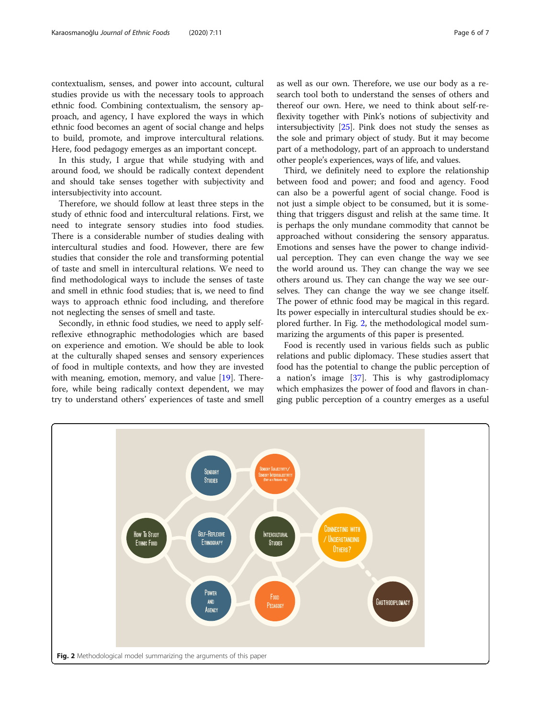<span id="page-5-0"></span>contextualism, senses, and power into account, cultural studies provide us with the necessary tools to approach ethnic food. Combining contextualism, the sensory approach, and agency, I have explored the ways in which ethnic food becomes an agent of social change and helps to build, promote, and improve intercultural relations. Here, food pedagogy emerges as an important concept.

In this study, I argue that while studying with and around food, we should be radically context dependent and should take senses together with subjectivity and intersubjectivity into account.

Therefore, we should follow at least three steps in the study of ethnic food and intercultural relations. First, we need to integrate sensory studies into food studies. There is a considerable number of studies dealing with intercultural studies and food. However, there are few studies that consider the role and transforming potential of taste and smell in intercultural relations. We need to find methodological ways to include the senses of taste and smell in ethnic food studies; that is, we need to find ways to approach ethnic food including, and therefore not neglecting the senses of smell and taste.

Secondly, in ethnic food studies, we need to apply selfreflexive ethnographic methodologies which are based on experience and emotion. We should be able to look at the culturally shaped senses and sensory experiences of food in multiple contexts, and how they are invested with meaning, emotion, memory, and value [\[19\]](#page-6-0). Therefore, while being radically context dependent, we may try to understand others' experiences of taste and smell as well as our own. Therefore, we use our body as a research tool both to understand the senses of others and thereof our own. Here, we need to think about self-reflexivity together with Pink's notions of subjectivity and intersubjectivity [[25](#page-6-0)]. Pink does not study the senses as the sole and primary object of study. But it may become part of a methodology, part of an approach to understand other people's experiences, ways of life, and values.

Third, we definitely need to explore the relationship between food and power; and food and agency. Food can also be a powerful agent of social change. Food is not just a simple object to be consumed, but it is something that triggers disgust and relish at the same time. It is perhaps the only mundane commodity that cannot be approached without considering the sensory apparatus. Emotions and senses have the power to change individual perception. They can even change the way we see the world around us. They can change the way we see others around us. They can change the way we see ourselves. They can change the way we see change itself. The power of ethnic food may be magical in this regard. Its power especially in intercultural studies should be explored further. In Fig. 2, the methodological model summarizing the arguments of this paper is presented.

Food is recently used in various fields such as public relations and public diplomacy. These studies assert that food has the potential to change the public perception of a nation's image  $[37]$  $[37]$  $[37]$ . This is why gastrodiplomacy which emphasizes the power of food and flavors in changing public perception of a country emerges as a useful